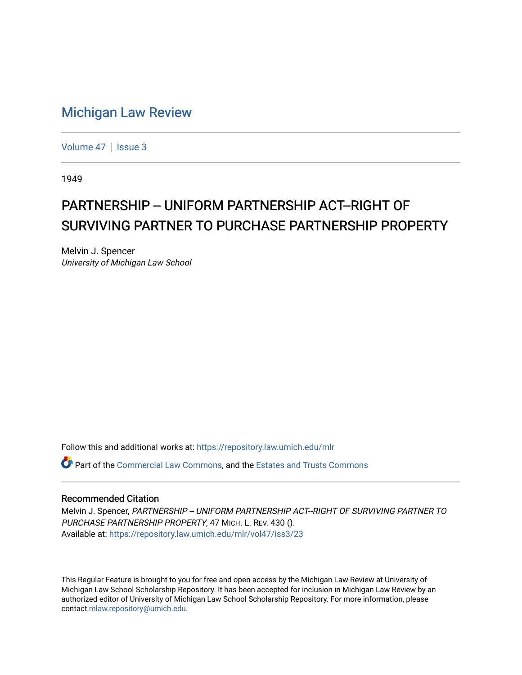## [Michigan Law Review](https://repository.law.umich.edu/mlr)

[Volume 47](https://repository.law.umich.edu/mlr/vol47) | [Issue 3](https://repository.law.umich.edu/mlr/vol47/iss3)

1949

## PARTNERSHIP -- UNIFORM PARTNERSHIP ACT--RIGHT OF SURVIVING PARTNER TO PURCHASE PARTNERSHIP PROPERTY

Melvin J. Spencer University of Michigan Law School

Follow this and additional works at: [https://repository.law.umich.edu/mlr](https://repository.law.umich.edu/mlr?utm_source=repository.law.umich.edu%2Fmlr%2Fvol47%2Fiss3%2F23&utm_medium=PDF&utm_campaign=PDFCoverPages) 

**P** Part of the [Commercial Law Commons](http://network.bepress.com/hgg/discipline/586?utm_source=repository.law.umich.edu%2Fmlr%2Fvol47%2Fiss3%2F23&utm_medium=PDF&utm_campaign=PDFCoverPages), and the Estates and Trusts Commons

## Recommended Citation

Melvin J. Spencer, PARTNERSHIP -- UNIFORM PARTNERSHIP ACT--RIGHT OF SURVIVING PARTNER TO PURCHASE PARTNERSHIP PROPERTY, 47 MICH. L. REV. 430 (). Available at: [https://repository.law.umich.edu/mlr/vol47/iss3/23](https://repository.law.umich.edu/mlr/vol47/iss3/23?utm_source=repository.law.umich.edu%2Fmlr%2Fvol47%2Fiss3%2F23&utm_medium=PDF&utm_campaign=PDFCoverPages) 

This Regular Feature is brought to you for free and open access by the Michigan Law Review at University of Michigan Law School Scholarship Repository. It has been accepted for inclusion in Michigan Law Review by an authorized editor of University of Michigan Law School Scholarship Repository. For more information, please contact [mlaw.repository@umich.edu](mailto:mlaw.repository@umich.edu).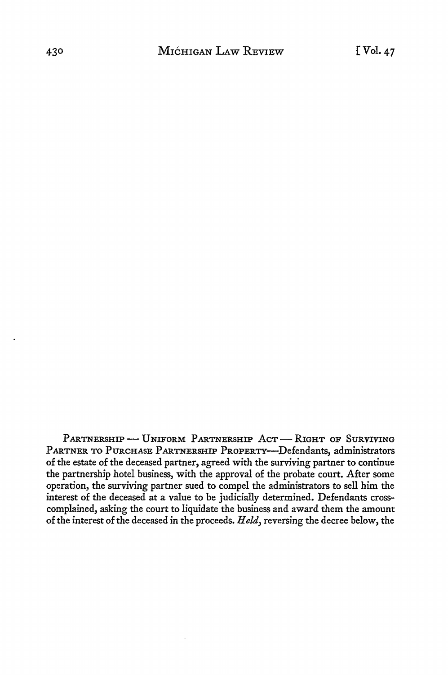PARTNERSHIP - UNIFORM PARTNERSHIP ACT - RIGHT OF SURVIVING PARTNER TO PURCHASE PARTNERSHIP PROPERTY--- Defendants, administrators of the estate of the deceased partner, agreed with the surviving partner to continue the partnership hotel business, with the approval of the probate court. After some operation, the surviving partner sued to compel the administrators to sell him the interest of the deceased at a value to be judicially determined. Defendants crosscomplained, asking the court to liquidate the business and award them the amount of the interest of the deceased in the proceeds. *Held,* reversing the decree below, the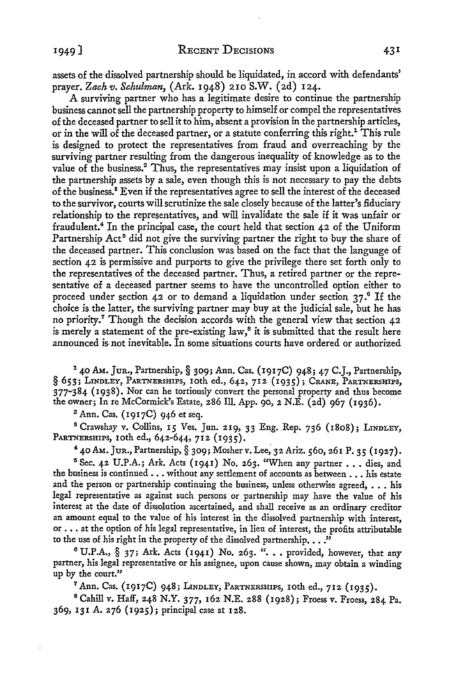assets of the dissolved partnership should be liquidated, in accord with defendants' prayer. *Zach v. Schulman,* (Ark. 1948) 210 S.W. (2d) 124.

A surviving partner who has a legitimate desire to continue the partnership business cannot sell the partnership property to himself or compel the representatives of the deceased partner to sell it to him, absent a provision in the partnership articles, or in the will of the deceased partner, or a statute conferring this right.<sup>1</sup> This rule is designed to protect the representatives from fraud and overreaching by the surviving partner resulting from the dangerous inequality of knowledge as to the value of the business.<sup>2</sup>Thus, the representatives may insist upon a liquidation of the partnership assets by a sale, even though this is not necessary to pay the debts of the business. <sup>8</sup>Even if the representatives agree to sell the interest of the deceased to the survivor, courts will scrutinize the sale closely because of the latter's fiduciary relationship to the representatives, and will invalidate the sale if it was unfair or fraudulent.<sup>4</sup> In the principal case, the court held that section 42 of the Uniform Partnership Act<sup>5</sup> did not give the surviving partner the right to buy the share of the deceased partner. This conclusion was based on the fact that the language of section 42 is permissive and purports to give the privilege there set forth only to the representatives of the deceased partner. Thus, a retired partner or the representative of a deceased partner seems to have the uncontrolled option either to proceed under section 42 or to demand a liquidation under section  $37.6$  If the choice is the latter, the surviving partner may buy at the judicial sale, but he has no priority.7 Though the decision accords with the general view that section 42 is merely a statement of the pre-existing law,<sup>8</sup> it is submitted that the result here announced is not inevitable. In some situations courts have ordered or authorized

 $140$  Am. Jur., Partnership,  $\S$  309; Ann. Cas. (1917C) 948; 47 C.J., Partnership, § 653; LINDLEY, PARTNERSHIPS, 10th ed., 642, 712 (1935); CRANE, PARTNERSHIPS, 377-384 (1938). Nor can he tortiously convert the personal property and thus become the owner; In re McCormick's Estate, 286 Ill. App. 90, 2 N.E. (2d) 967 (1936).

2 Ann. Cas. (1917C) 946 et seq.

<sup>8</sup> Crawshay v. Collins, 15 Ves. Jun. 219, 33 Eng. Rep. 736 (1808); LINDLEY, PARTNERSHIPS, 10th ed., 642-644, 712 (1935).

 $40$  AM. Jur., Partnership, § 309; Mosher v. Lee, 32 Ariz. 560, 261 P. 35 (1927).<br><sup>5</sup> Sec. 42 U.P.A.; Ark. Acts (1941) No. 263. "When any partner . . . dies, and the business is continued . . . without any settlement of accounts as between . . . his estate and the person or partnership continuing the business, unless otherwise agreed,  $\ldots$  his legal representative as against such persons or partnership may have the value of his interest at the date of dissolution ascertained, and shall receive as an ordinary creditor an amount equal to the value of his interest in the dissolved partnership with interest, or ••• at the option of his legal representative, in lieu of interest, the profits attributable to the use of his right in the property of the dissolved partnership.  $\ldots$ ."

 $6$  U.P.A., § 37; Ark. Acts (1941) No. 263. ". . provided, however, that any partner, his legal representative or his assignee, upon cause shown, may obtain a winding up by the court."

7 Ann. Cas. (1917C) 948; LINDLEY, PARTNERSHIPS, 10th ed., 712 (1935).

<sup>8</sup>Cahill v. Haff, 248 N.Y. 377, 162 N.E. 288 (1928}; Froess v. Froess, 284 Pa. 369, 131 A. 276 (1925); principal case at 128.